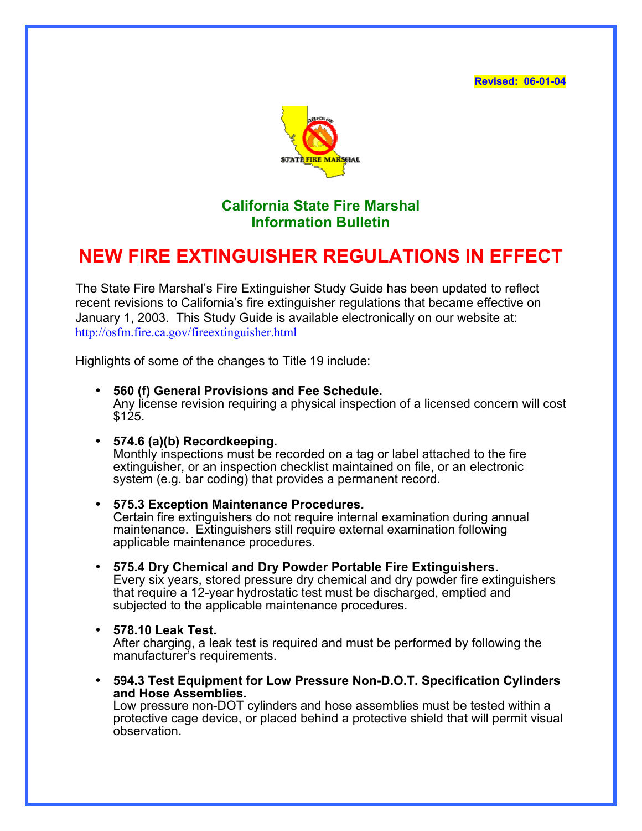**Revised: 06-01-04** 



## **California State Fire Marshal Information Bulletin**

## **NEW FIRE EXTINGUISHER REGULATIONS IN EFFECT**

The State Fire Marshal's Fire Extinguisher Study Guide has been updated to reflect recent revisions to California's fire extinguisher regulations that became effective on January 1, 2003. This Study Guide is available electronically on our website at: <http://osfm.fire.ca.gov/fireextinguisher.html>

Highlights of some of the changes to Title 19 include:

- **560 (f) General Provisions and Fee Schedule.**  Any license revision requiring a physical inspection of a licensed concern will cost \$125.
- **574.6 (a)(b) Recordkeeping.**

Monthly inspections must be recorded on a tag or label attached to the fire extinguisher, or an inspection checklist maintained on file, or an electronic system (e.g. bar coding) that provides a permanent record.

- **575.3 Exception Maintenance Procedures.** Certain fire extinguishers do not require internal examination during annual maintenance. Extinguishers still require external examination following applicable maintenance procedures.
- **575.4 Dry Chemical and Dry Powder Portable Fire Extinguishers.**  Every six years, stored pressure dry chemical and dry powder fire extinguishers that require a 12-year hydrostatic test must be discharged, emptied and subjected to the applicable maintenance procedures.
- **578.10 Leak Test.**

After charging, a leak test is required and must be performed by following the manufacturer's requirements.

• **594.3 Test Equipment for Low Pressure Non-D.O.T. Specification Cylinders and Hose Assemblies.** 

Low pressure non-DOT cylinders and hose assemblies must be tested within a protective cage device, or placed behind a protective shield that will permit visual observation.